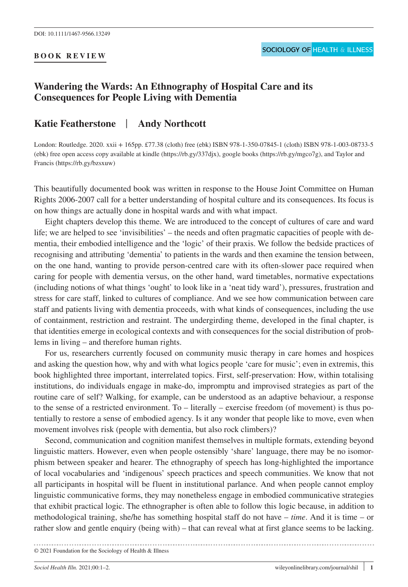## **BOOK REVIEW**

## **Wandering the Wards: An Ethnography of Hospital Care and its Consequences for People Living with Dementia**

## **Katie Featherstone** | **Andy Northcott**

London: Routledge. 2020. xxii + 165pp. £77.38 (cloth) free (ebk) ISBN 978-1-350-07845-1 (cloth) ISBN 978-1-003-08733-5 (ebk) free open access copy available at kindle (https://rb.gy/337djx), google books (https://rb.gy/mgco7g), and Taylor and Francis (https://rb.gy/bzsxuw)

This beautifully documented book was written in response to the House Joint Committee on Human Rights 2006-2007 call for a better understanding of hospital culture and its consequences. Its focus is on how things are actually done in hospital wards and with what impact.

Eight chapters develop this theme. We are introduced to the concept of cultures of care and ward life; we are helped to see 'invisibilities' – the needs and often pragmatic capacities of people with dementia, their embodied intelligence and the 'logic' of their praxis. We follow the bedside practices of recognising and attributing 'dementia' to patients in the wards and then examine the tension between, on the one hand, wanting to provide person-centred care with its often-slower pace required when caring for people with dementia versus, on the other hand, ward timetables, normative expectations (including notions of what things 'ought' to look like in a 'neat tidy ward'), pressures, frustration and stress for care staff, linked to cultures of compliance. And we see how communication between care staff and patients living with dementia proceeds, with what kinds of consequences, including the use of containment, restriction and restraint. The undergirding theme, developed in the final chapter, is that identities emerge in ecological contexts and with consequences for the social distribution of problems in living – and therefore human rights.

For us, researchers currently focused on community music therapy in care homes and hospices and asking the question how, why and with what logics people 'care for music'; even in extremis, this book highlighted three important, interrelated topics. First, self-preservation: How, within totalising institutions, do individuals engage in make-do, impromptu and improvised strategies as part of the routine care of self? Walking, for example, can be understood as an adaptive behaviour, a response to the sense of a restricted environment. To – literally – exercise freedom (of movement) is thus potentially to restore a sense of embodied agency. Is it any wonder that people like to move, even when movement involves risk (people with dementia, but also rock climbers)?

Second, communication and cognition manifest themselves in multiple formats, extending beyond linguistic matters. However, even when people ostensibly 'share' language, there may be no isomorphism between speaker and hearer. The ethnography of speech has long-highlighted the importance of local vocabularies and 'indigenous' speech practices and speech communities. We know that not all participants in hospital will be fluent in institutional parlance. And when people cannot employ linguistic communicative forms, they may nonetheless engage in embodied communicative strategies that exhibit practical logic. The ethnographer is often able to follow this logic because, in addition to methodological training, she/he has something hospital staff do not have – *time*. And it is time – or rather slow and gentle enquiry (being with) – that can reveal what at first glance seems to be lacking.

```
© 2021 Foundation for the Sociology of Health & Illness
```